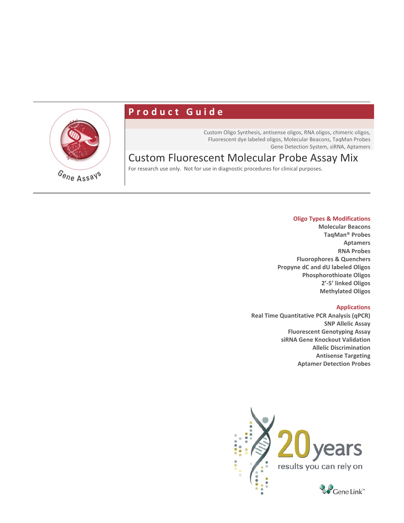

# **Product Guide**

Custom Oligo Synthesis, antisense oligos, RNA oligos, chimeric oligos, Fluorescent dye labeled oligos, Molecular Beacons, TaqMan Probes Gene Detection System, siRNA, Aptamers

# Custom Fluorescent Molecular Probe Assay Mix

For research use only. Not for use in diagnostic procedures for clinical purposes.

#### **Oligo Types & Modifications**

**Molecular Beacons TaqMan® Probes Aptamers RNA Probes Fluorophores & Quenchers Propyne dC and dU labeled Oligos Phosphorothioate Oligos 2'-5' linked Oligos Methylated Oligos**

#### **Applications**

**Real Time Quantitative PCR Analysis (qPCR) SNP Allelic Assay Fluorescent Genotyping Assay siRNA Gene Knockout Validation Allelic Discrimination Antisense Targeting Aptamer Detection Probes**

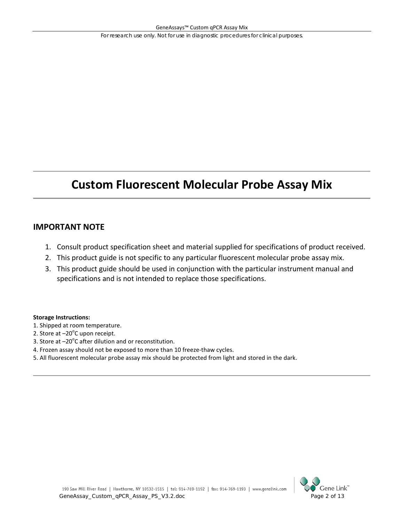# **Custom Fluorescent Molecular Probe Assay Mix**

# **IMPORTANT NOTE**

- 1. Consult product specification sheet and material supplied for specifications of product received.
- 2. This product guide is not specific to any particular fluorescent molecular probe assay mix.
- 3. This product guide should be used in conjunction with the particular instrument manual and specifications and is not intended to replace those specifications.

#### **Storage Instructions:**

- 1. Shipped at room temperature.
- 2. Store at  $-20^{\circ}$ C upon receipt.
- 3. Store at  $-20^{\circ}$ C after dilution and or reconstitution.
- 4. Frozen assay should not be exposed to more than 10 freeze-thaw cycles.
- 5. All fluorescent molecular probe assay mix should be protected from light and stored in the dark.

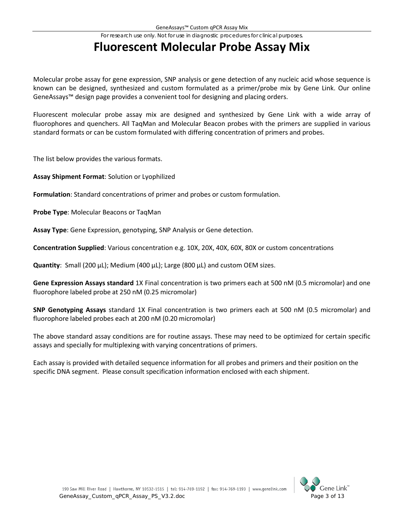# **Fluorescent Molecular Probe Assay Mix**

Molecular probe assay for gene expression, SNP analysis or gene detection of any nucleic acid whose sequence is known can be designed, synthesized and custom formulated as a primer/probe mix by Gene Link. Our online GeneAssays™ design page provides a convenient tool for designing and placing orders.

Fluorescent molecular probe assay mix are designed and synthesized by Gene Link with a wide array of fluorophores and quenchers. All TaqMan and Molecular Beacon probes with the primers are supplied in various standard formats or can be custom formulated with differing concentration of primers and probes.

The list below provides the various formats.

**Assay Shipment Format**: Solution or Lyophilized

**Formulation**: Standard concentrations of primer and probes or custom formulation.

**Probe Type**: Molecular Beacons or TaqMan

**Assay Type**: Gene Expression, genotyping, SNP Analysis or Gene detection.

**Concentration Supplied**: Various concentration e.g. 10X, 20X, 40X, 60X, 80X or custom concentrations

**Quantity**: Small (200 µL); Medium (400 µL); Large (800 µL) and custom OEM sizes.

**Gene Expression Assays standard** 1X Final concentration is two primers each at 500 nM (0.5 micromolar) and one fluorophore labeled probe at 250 nM (0.25 micromolar)

**SNP Genotyping Assays** standard 1X Final concentration is two primers each at 500 nM (0.5 micromolar) and fluorophore labeled probes each at 200 nM (0.20 micromolar)

The above standard assay conditions are for routine assays. These may need to be optimized for certain specific assays and specially for multiplexing with varying concentrations of primers.

Each assay is provided with detailed sequence information for all probes and primers and their position on the specific DNA segment. Please consult specification information enclosed with each shipment.

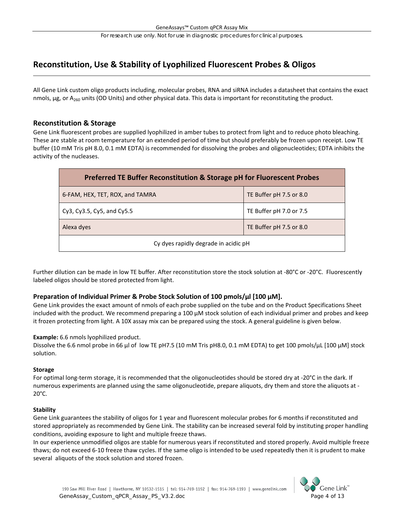# **Reconstitution, Use & Stability of Lyophilized Fluorescent Probes & Oligos**

All Gene Link custom oligo products including, molecular probes, RNA and siRNA includes a datasheet that contains the exact nmols,  $\mu$ g, or A<sub>260</sub> units (OD Units) and other physical data. This data is important for reconstituting the product.

#### **Reconstitution & Storage**

Gene Link fluorescent probes are supplied lyophilized in amber tubes to protect from light and to reduce photo bleaching. These are stable at room temperature for an extended period of time but should preferably be frozen upon receipt. Low TE buffer (10 mM Tris pH 8.0, 0.1 mM EDTA) is recommended for dissolving the probes and oligonucleotides; EDTA inhibits the activity of the nucleases.

| Preferred TE Buffer Reconstitution & Storage pH for Fluorescent Probes |                         |  |  |  |
|------------------------------------------------------------------------|-------------------------|--|--|--|
| 6-FAM, HEX, TET, ROX, and TAMRA                                        | TE Buffer pH 7.5 or 8.0 |  |  |  |
| Cy3, Cy3.5, Cy5, and Cy5.5                                             | TE Buffer pH 7.0 or 7.5 |  |  |  |
| TE Buffer pH 7.5 or 8.0<br>Alexa dyes                                  |                         |  |  |  |
| Cy dyes rapidly degrade in acidic pH                                   |                         |  |  |  |

Further dilution can be made in low TE buffer. After reconstitution store the stock solution at -80°C or -20°C. Fluorescently labeled oligos should be stored protected from light.

#### **Preparation of Individual Primer & Probe Stock Solution of 100 pmols/μl [100 μM].**

Gene Link provides the exact amount of nmols of each probe supplied on the tube and on the Product Specifications Sheet included with the product. We recommend preparing a 100 µM stock solution of each individual primer and probes and keep it frozen protecting from light. A 10X assay mix can be prepared using the stock. A general guideline is given below.

#### **Example:** 6.6 nmols lyophilized product.

Dissolve the 6.6 nmol probe in 66 μl of low TE pH7.5 (10 mM Tris pH8.0, 0.1 mM EDTA) to get 100 pmols/μL [100 µM] stock solution.

#### **Storage**

For optimal long-term storage, it is recommended that the oligonucleotides should be stored dry at -20°C in the dark. If numerous experiments are planned using the same oligonucleotide, prepare aliquots, dry them and store the aliquots at - 20°C.

#### **Stability**

Gene Link guarantees the stability of oligos for 1 year and fluorescent molecular probes for 6 months if reconstituted and stored appropriately as recommended by Gene Link. The stability can be increased several fold by instituting proper handling conditions, avoiding exposure to light and multiple freeze thaws.

In our experience unmodified oligos are stable for numerous years if reconstituted and stored properly. Avoid multiple freeze thaws; do not exceed 6-10 freeze thaw cycles. If the same oligo is intended to be used repeatedly then it is prudent to make several aliquots of the stock solution and stored frozen.

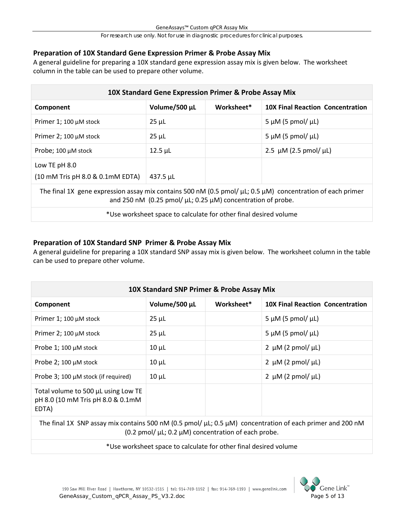## **Preparation of 10X Standard Gene Expression Primer & Probe Assay Mix**

A general guideline for preparing a 10X standard gene expression assay mix is given below. The worksheet column in the table can be used to prepare other volume.

| 10X Standard Gene Expression Primer & Probe Assay Mix                                                                                                                                         |                |            |                                         |  |  |  |
|-----------------------------------------------------------------------------------------------------------------------------------------------------------------------------------------------|----------------|------------|-----------------------------------------|--|--|--|
| Component                                                                                                                                                                                     | Volume/500 µL  | Worksheet* | <b>10X Final Reaction Concentration</b> |  |  |  |
| Primer 1; 100 µM stock                                                                                                                                                                        | $25 \mu L$     |            | 5 $\mu$ M (5 pmol/ $\mu$ L)             |  |  |  |
| Primer 2; 100 $\mu$ M stock                                                                                                                                                                   | $25 \mu L$     |            | 5 $\mu$ M (5 pmol/ $\mu$ L)             |  |  |  |
| Probe; 100 µM stock                                                                                                                                                                           | $12.5$ $\mu$ L |            | 2.5 $\mu$ M (2.5 pmol/ $\mu$ L)         |  |  |  |
| Low TE pH 8.0<br>(10 mM Tris pH 8.0 & 0.1mM EDTA)<br>$437.5 \mu L$                                                                                                                            |                |            |                                         |  |  |  |
| The final 1X gene expression assay mix contains 500 nM (0.5 pmol/ $\mu$ L; 0.5 $\mu$ M) concentration of each primer<br>and 250 nM (0.25 pmol/ $\mu$ L; 0.25 $\mu$ M) concentration of probe. |                |            |                                         |  |  |  |
| *Use worksheet space to calculate for other final desired volume                                                                                                                              |                |            |                                         |  |  |  |

# **Preparation of 10X Standard SNP Primer & Probe Assay Mix**

A general guideline for preparing a 10X standard SNP assay mix is given below. The worksheet column in the table can be used to prepare other volume.

| 10X Standard SNP Primer & Probe Assay Mix                                         |               |            |                                         |  |  |
|-----------------------------------------------------------------------------------|---------------|------------|-----------------------------------------|--|--|
| Component                                                                         | Volume/500 µL | Worksheet* | <b>10X Final Reaction Concentration</b> |  |  |
| Primer 1; 100 µM stock                                                            | $25 \mu L$    |            | 5 $\mu$ M (5 pmol/ $\mu$ L)             |  |  |
| Primer 2; 100 µM stock                                                            | $25 \mu L$    |            | 5 $\mu$ M (5 pmol/ $\mu$ L)             |  |  |
| Probe 1; 100 $\mu$ M stock                                                        | $10 \mu L$    |            | 2 $\mu$ M (2 pmol/ $\mu$ L)             |  |  |
| Probe 2; 100 µM stock                                                             | $10 \mu L$    |            | 2 $\mu$ M (2 pmol/ $\mu$ L)             |  |  |
| Probe 3; 100 µM stock (if required)                                               | $10 \mu L$    |            | 2 $\mu$ M (2 pmol/ $\mu$ L)             |  |  |
| Total volume to 500 µL using Low TE<br>pH 8.0 (10 mM Tris pH 8.0 & 0.1mM<br>EDTA) |               |            |                                         |  |  |

The final 1X SNP assay mix contains 500 nM (0.5 pmol/ µL; 0.5 µM) concentration of each primer and 200 nM (0.2 pmol/  $\mu$ L; 0.2  $\mu$ M) concentration of each probe.

\*Use worksheet space to calculate for other final desired volume

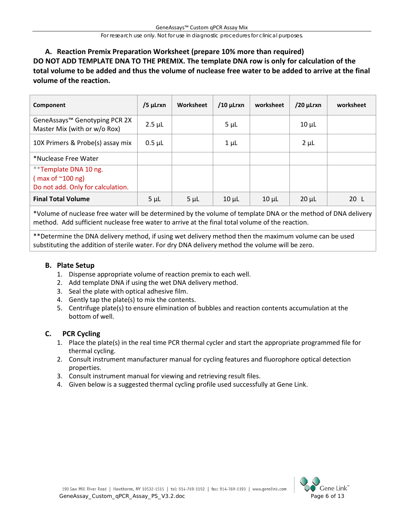# **A. Reaction Premix Preparation Worksheet (prepare 10% more than required) DO NOT ADD TEMPLATE DNA TO THE PREMIX. The template DNA row is only for calculation of the total volume to be added and thus the volume of nuclease free water to be added to arrive at the final volume of the reaction.**

| Component                                                                                           | /5 µLrxn    | Worksheet | $/10$ µLrxn | worksheet  | $/20$ µLrxn | worksheet |
|-----------------------------------------------------------------------------------------------------|-------------|-----------|-------------|------------|-------------|-----------|
| GeneAssays <sup>™</sup> Genotyping PCR 2X<br>Master Mix (with or w/o Rox)                           | $2.5 \mu L$ |           | $5 \mu L$   |            | $10 \mu L$  |           |
| 10X Primers & Probe(s) assay mix                                                                    | $0.5 \mu L$ |           | $1 \mu L$   |            | $2 \mu L$   |           |
| *Nuclease Free Water                                                                                |             |           |             |            |             |           |
| **Template DNA 10 ng.<br>$\frac{1}{2}$ max of $^{\sim}100$ ng)<br>Do not add. Only for calculation. |             |           |             |            |             |           |
| <b>Final Total Volume</b>                                                                           | $5 \mu L$   | $5 \mu L$ | $10 \mu L$  | $10 \mu L$ | $20 \mu L$  | 20L       |

\*Volume of nuclease free water will be determined by the volume of template DNA or the method of DNA delivery method. Add sufficient nuclease free water to arrive at the final total volume of the reaction.

\*\*Determine the DNA delivery method, if using wet delivery method then the maximum volume can be used substituting the addition of sterile water. For dry DNA delivery method the volume will be zero.

## **B. Plate Setup**

- 1. Dispense appropriate volume of reaction premix to each well.
- 2. Add template DNA if using the wet DNA delivery method.
- 3. Seal the plate with optical adhesive film.
- 4. Gently tap the plate(s) to mix the contents.
- 5. Centrifuge plate(s) to ensure elimination of bubbles and reaction contents accumulation at the bottom of well.

## **C. PCR Cycling**

- 1. Place the plate(s) in the real time PCR thermal cycler and start the appropriate programmed file for thermal cycling.
- 2. Consult instrument manufacturer manual for cycling features and fluorophore optical detection properties.
- 3. Consult instrument manual for viewing and retrieving result files.
- 4. Given below is a suggested thermal cycling profile used successfully at Gene Link.

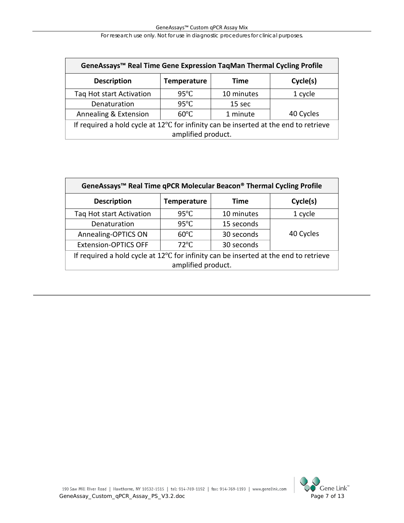| GeneAssays <sup>™</sup> Real Time Gene Expression TaqMan Thermal Cycling Profile               |                |            |         |  |  |  |
|------------------------------------------------------------------------------------------------|----------------|------------|---------|--|--|--|
| Cycle(s)<br><b>Description</b><br><b>Time</b><br><b>Temperature</b>                            |                |            |         |  |  |  |
| Tag Hot start Activation                                                                       | $95^{\circ}$ C | 10 minutes | 1 cycle |  |  |  |
| Denaturation                                                                                   | $95^{\circ}$ C | 15 sec     |         |  |  |  |
| 40 Cycles<br>Annealing & Extension<br>$60^{\circ}$ C<br>1 minute                               |                |            |         |  |  |  |
| If required a hold cycle at $12^{\circ}$ C for infinity can be inserted at the end to retrieve |                |            |         |  |  |  |
| amplified product.                                                                             |                |            |         |  |  |  |

| GeneAssays <sup>™</sup> Real Time qPCR Molecular Beacon® Thermal Cycling Profile               |                    |             |           |  |  |  |
|------------------------------------------------------------------------------------------------|--------------------|-------------|-----------|--|--|--|
| <b>Description</b>                                                                             | <b>Temperature</b> | <b>Time</b> | Cycle(s)  |  |  |  |
| Tag Hot start Activation                                                                       | $95^{\circ}$ C     | 10 minutes  | 1 cycle   |  |  |  |
| Denaturation                                                                                   | $95^{\circ}$ C     | 15 seconds  |           |  |  |  |
| Annealing-OPTICS ON                                                                            | $60^{\circ}$ C     | 30 seconds  | 40 Cycles |  |  |  |
| $72^{\circ}$ C<br><b>Extension-OPTICS OFF</b><br>30 seconds                                    |                    |             |           |  |  |  |
| If required a hold cycle at $12^{\circ}$ C for infinity can be inserted at the end to retrieve |                    |             |           |  |  |  |
| amplified product.                                                                             |                    |             |           |  |  |  |

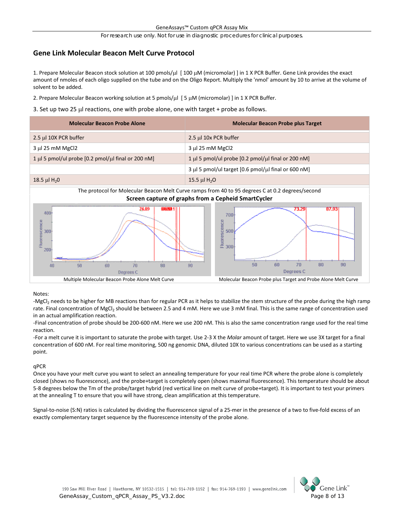### **Gene Link Molecular Beacon Melt Curve Protocol**

1. Prepare Molecular Beacon stock solution at 100 pmols/µl [ 100 µM (micromolar) ] in 1 X PCR Buffer. Gene Link provides the exact amount of nmoles of each oligo supplied on the tube and on the Oligo Report. Multiply the 'nmol' amount by 10 to arrive at the volume of solvent to be added.

- 2. Prepare Molecular Beacon working solution at 5 pmols/ $\mu$ l [5  $\mu$ M (micromolar) ] in 1 X PCR Buffer.
- 3. Set up two 25  $\mu$ l reactions, one with probe alone, one with target + probe as follows.



Notes:

-MgCl<sub>2</sub> needs to be higher for MB reactions than for regular PCR as it helps to stabilize the stem structure of the probe during the high ramp rate. Final concentration of MgCl<sub>2</sub> should be between 2.5 and 4 mM. Here we use 3 mM final. This is the same range of concentration used in an actual amplification reaction.

-Final concentration of probe should be 200-600 nM. Here we use 200 nM. This is also the same concentration range used for the real time reaction.

-For a melt curve it is important to saturate the probe with target. Use 2-3 X the *Molar* amount of target. Here we use 3X target for a final concentration of 600 nM. For real time monitoring, 500 ng genomic DNA, diluted 10X to various concentrations can be used as a starting point.

#### qPCR

Once you have your melt curve you want to select an annealing temperature for your real time PCR where the probe alone is completely closed (shows no fluorescence), and the probe+target is completely open (shows maximal fluorescence). This temperature should be about 5-8 degrees below the Tm of the probe/target hybrid (red vertical line on melt curve of probe+target). It is important to test your primers at the annealing T to ensure that you will have strong, clean amplification at this temperature.

Signal-to-noise (S:N) ratios is calculated by dividing the fluorescence signal of a 25-mer in the presence of a two to five-fold excess of an exactly complementary target sequence by the fluorescence intensity of the probe alone.

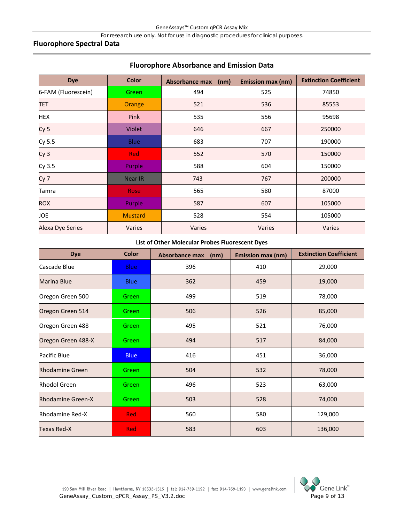### **Fluorophore Spectral Data**

| <b>Dye</b>              | <b>Color</b>   | <b>Absorbance max</b><br>(nm) | <b>Emission max (nm)</b> | <b>Extinction Coefficient</b> |
|-------------------------|----------------|-------------------------------|--------------------------|-------------------------------|
| 6-FAM (Fluorescein)     | Green          | 494                           | 525                      | 74850                         |
| <b>TET</b>              | Orange         | 521                           | 536                      | 85553                         |
| <b>HEX</b>              | Pink           | 535                           | 556                      | 95698                         |
| Cy <sub>5</sub>         | <b>Violet</b>  | 646                           | 667                      | 250000                        |
| Cy 5.5                  | <b>Blue</b>    | 683                           | 707                      | 190000                        |
| Cy <sub>3</sub>         | <b>Red</b>     | 552                           | 570                      | 150000                        |
| Cy 3.5                  | Purple         | 588                           | 604                      | 150000                        |
| Cy <sub>7</sub>         | <b>Near IR</b> | 743                           | 767                      | 200000                        |
| Tamra                   | <b>Rose</b>    | 565                           | 580                      | 87000                         |
| <b>ROX</b>              | Purple         | 587                           | 607                      | 105000                        |
| JOE                     | <b>Mustard</b> | 528                           | 554                      | 105000                        |
| <b>Alexa Dye Series</b> | Varies         | Varies                        | Varies                   | Varies                        |

## **Fluorophore Absorbance and Emission Data**

#### **List of Other Molecular Probes Fluorescent Dyes**

| <b>Dye</b>               | <b>Color</b> | <b>Absorbance max</b><br>(nm) | Emission max (nm) | <b>Extinction Coefficient</b> |
|--------------------------|--------------|-------------------------------|-------------------|-------------------------------|
| Cascade Blue             | <b>Blue</b>  | 396                           | 410               | 29,000                        |
| <b>Marina Blue</b>       | <b>Blue</b>  | 362                           | 459               | 19,000                        |
| Oregon Green 500         | Green        | 499                           | 519               | 78,000                        |
| Oregon Green 514         | Green        | 506                           | 526               | 85,000                        |
| Oregon Green 488         | Green        | 495                           | 521               | 76,000                        |
| Oregon Green 488-X       | Green        | 494                           | 517               | 84,000                        |
| Pacific Blue             | <b>Blue</b>  | 416                           | 451               | 36,000                        |
| <b>Rhodamine Green</b>   | Green        | 504                           | 532               | 78,000                        |
| <b>Rhodol Green</b>      | Green        | 496                           | 523               | 63,000                        |
| <b>Rhodamine Green-X</b> | Green        | 503                           | 528               | 74,000                        |
| <b>Rhodamine Red-X</b>   | <b>Red</b>   | 560                           | 580               | 129,000                       |
| <b>Texas Red-X</b>       | <b>Red</b>   | 583                           | 603               | 136,000                       |

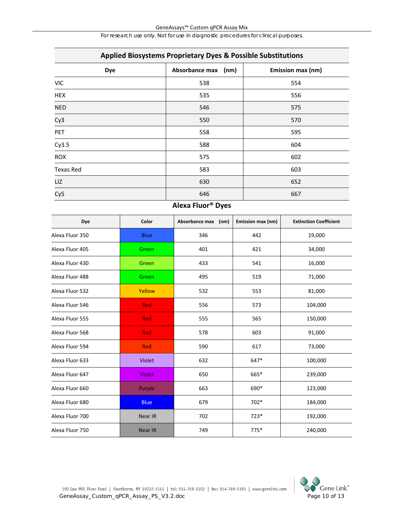| Applied Biosystems Proprietary Dyes & Possible Substitutions |                     |                   |  |  |  |
|--------------------------------------------------------------|---------------------|-------------------|--|--|--|
| Dye                                                          | Absorbance max (nm) | Emission max (nm) |  |  |  |
| <b>VIC</b>                                                   | 538                 | 554               |  |  |  |
| <b>HEX</b>                                                   | 535                 | 556               |  |  |  |
| <b>NED</b>                                                   | 546                 | 575               |  |  |  |
| Cy3                                                          | 550                 | 570               |  |  |  |
| PET                                                          | 558                 | 595               |  |  |  |
| Cy3.5                                                        | 588                 | 604               |  |  |  |
| <b>ROX</b>                                                   | 575                 | 602               |  |  |  |
| <b>Texas Red</b>                                             | 583                 | 603               |  |  |  |
| LIZ                                                          | 630                 | 652               |  |  |  |
| Cy5                                                          | 646                 | 667               |  |  |  |

# **Applied Biosystems Proprietary Dyes & Possible Substitutions**

# **Alexa Fluor® Dyes**

| Dye             | Color          | Absorbance max<br>(nm) | Emission max (nm) | <b>Extinction Coefficient</b> |
|-----------------|----------------|------------------------|-------------------|-------------------------------|
| Alexa Fluor 350 | <b>Blue</b>    | 346                    | 442               | 19,000                        |
| Alexa Fluor 405 | Green          | 401                    | 421               | 34,000                        |
| Alexa Fluor 430 | Green          | 433                    | 541               | 16,000                        |
| Alexa Fluor 488 | Green          | 495                    | 519               | 71,000                        |
| Alexa Fluor 532 | Yellow         | 532                    | 553               | 81,000                        |
| Alexa Fluor 546 | <b>Red</b>     | 556                    | 573               | 104,000                       |
| Alexa Fluor 555 | <b>Red</b>     | 555                    | 565               | 150,000                       |
| Alexa Fluor 568 | <b>Red</b>     | 578                    | 603               | 91,000                        |
| Alexa Fluor 594 | Red            | 590                    | 617               | 73,000                        |
| Alexa Fluor 633 | <b>Violet</b>  | 632                    | 647*              | 100,000                       |
| Alexa Fluor 647 | <b>Violet</b>  | 650                    | 665*              | 239,000                       |
| Alexa Fluor 660 | Purple         | 663                    | 690*              | 123,000                       |
| Alexa Fluor 680 | <b>Blue</b>    | 679                    | 702*              | 184,000                       |
| Alexa Fluor 700 | Near IR        | 702                    | $723*$            | 192,000                       |
| Alexa Fluor 750 | <b>Near IR</b> | 749                    | $775*$            | 240,000                       |

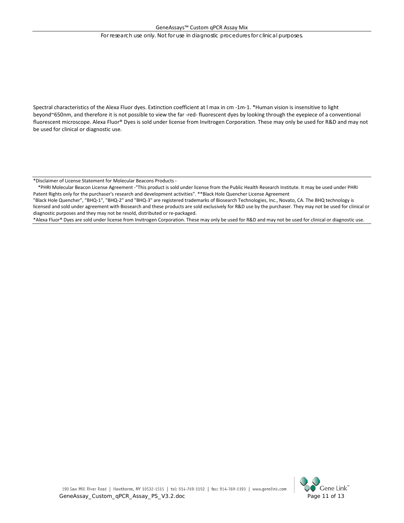Spectral characteristics of the Alexa Fluor dyes. Extinction coefficient at l max in cm -1m-1. \*Human vision is insensitive to light beyond~650nm, and therefore it is not possible to view the far -red- fluorescent dyes by looking through the eyepiece of a conventional fluorescent microscope. Alexa Fluor® Dyes is sold under license from Invitrogen Corporation. These may only be used for R&D and may not be used for clinical or diagnostic use.

\*Disclaimer of License Statement for Molecular Beacons Products -

 \*PHRI Molecular Beacon License Agreement -"This product is sold under license from the Public Health Research Institute. It may be used under PHRI Patent Rights only for the purchaser's research and development activities". \*\*Black Hole Quencher License Agreement

"Black Hole Quencher", "BHQ-1", "BHQ-2" and "BHQ-3" are registered trademarks of Biosearch Technologies, Inc., Novato, CA. The BHQ technology is licensed and sold under agreement with Biosearch and these products are sold exclusively for R&D use by the purchaser. They may not be used for clinical or diagnostic purposes and they may not be resold, distributed or re-packaged.

\*Alexa Fluor® Dyes are sold under license from Invitrogen Corporation. These may only be used for R&D and may not be used for clinical or diagnostic use.

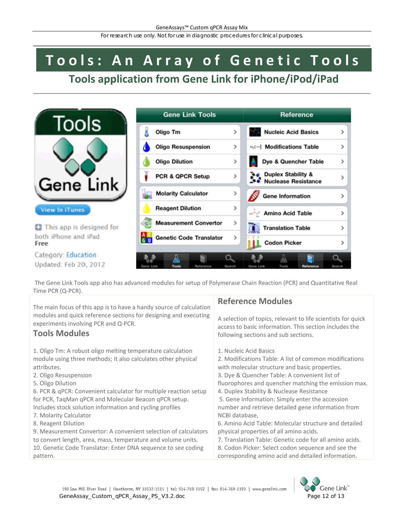# **Tools: An Array of Genetic Tools**

# **Tools application from Gene Link for iPhone/iPod/iPad**



The Gene Link Tools app also has advanced modules for setup of Polymerase Chain Reaction (PCR) and Quantitative Real Time PCR (Q-PCR).

The main focus of this app is to have a handy source of calculation modules and quick reference sections for designing and executing experiments involving PCR and Q-PCR.

# **Tools Modules**

1. Oligo Tm: A robust oligo melting temperature calculation module using three methods; it also calculates other physical attributes.

- 2. Oligo Resuspension
- 5. Oligo Dilution

6. PCR & qPCR: Convenient calculator for multiple reaction setup for PCR, TaqMan qPCR and Molecular Beacon qPCR setup. Includes stock solution information and cycling profiles

- 7. Molarity Calculator
- 8. Reagent Dilution

9. Measurement Convertor: A convenient selection of calculators to convert length, area, mass, temperature and volume units. 10. Genetic Code Translator: Enter DNA sequence to see coding pattern.

# **Reference Modules**

A selection of topics, relevant to life scientists for quick access to basic information. This section includes the following sections and sub sections.

1. Nucleic Acid Basics

2. Modifications Table: A list of common modifications with molecular structure and basic properties.

3. Dye & Quencher Table: A convenient list of

fluorophores and quencher matching the emission max. 4. Duplex Stability & Nuclease Resistance

5. Gene Information: Simply enter the accession number and retrieve detailed gene information from NCBI database,

6. Amino Acid Table: Molecular structure and detailed physical properties of all amino acids.

7. Translation Table: Genetic code for all amino acids. 8. Codon Picker: Select codon sequence and see the corresponding amino acid and detailed information.